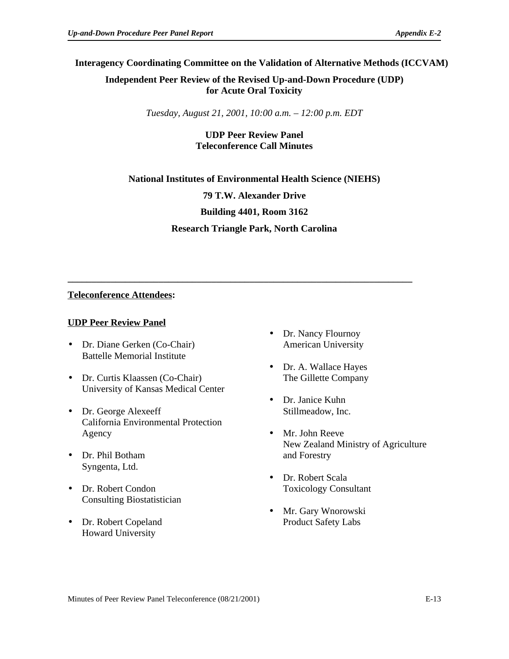## **Interagency Coordinating Committee on the Validation of Alternative Methods (ICCVAM)**

**Independent Peer Review of the Revised Up-and-Down Procedure (UDP) for Acute Oral Toxicity** 

*Tuesday, August 21, 2001, 10:00 a.m. – 12:00 p.m. EDT* 

# **UDP Peer Review Panel Teleconference Call Minutes**

**National Institutes of Environmental Health Science (NIEHS) 79 T.W. Alexander Drive Building 4401, Room 3162 Research Triangle Park, North Carolina** 

**\_\_\_\_\_\_\_\_\_\_\_\_\_\_\_\_\_\_\_\_\_\_\_\_\_\_\_\_\_\_\_\_\_\_\_\_\_\_\_\_\_\_\_\_\_\_\_\_\_\_\_\_\_\_\_\_\_\_\_\_\_\_\_\_\_\_\_\_\_\_\_\_** 

## **Teleconference Attendees:**

#### **UDP Peer Review Panel**

- Dr. Diane Gerken (Co-Chair) American University Battelle Memorial Institute
- Dr. Curtis Klaassen (Co-Chair) The Gillette Company University of Kansas Medical Center
- Dr. George Alexeeff Stillmeadow, Inc. California Environmental Protection Agency • Mr. John Reeve
- Dr. Phil Botham and Forestry Syngenta, Ltd.
- Dr. Robert Condon Toxicology Consultant Consulting Biostatistician
- Dr. Robert Copeland Product Safety Labs Howard University
- Dr. Nancy Flournoy
- Dr. A. Wallace Hayes
- Dr. Janice Kuhn
- New Zealand Ministry of Agriculture
- Dr. Robert Scala
- Mr. Gary Wnorowski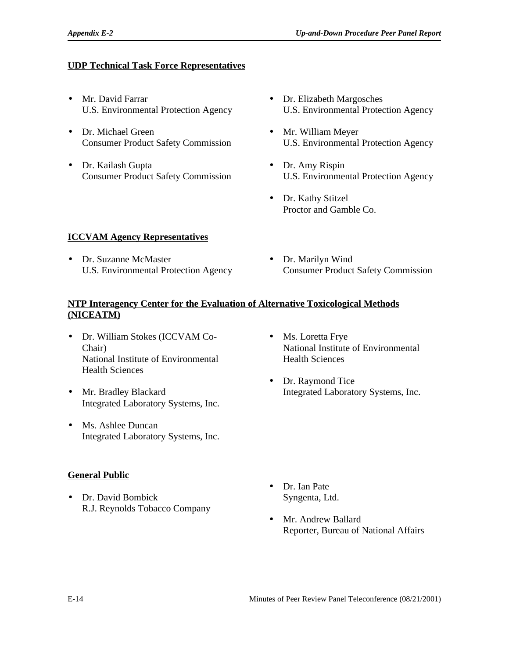#### **UDP Technical Task Force Representatives**

- Mr. David Farrar U.S. Environmental Protection Agency
- • Dr. Michael Green Consumer Product Safety Commission
- Dr. Kailash Gupta Consumer Product Safety Commission
- Dr. Elizabeth Margosches U.S. Environmental Protection Agency
- • Mr. William Meyer U.S. Environmental Protection Agency
- Dr. Amy Rispin U.S. Environmental Protection Agency
- Dr. Kathy Stitzel Proctor and Gamble Co.

#### **ICCVAM Agency Representatives**

- • Dr. Suzanne McMaster U.S. Environmental Protection Agency
- Dr. Marilyn Wind Consumer Product Safety Commission

#### **NTP Interagency Center for the Evaluation of Alternative Toxicological Methods (NICEATM)**

- Dr. William Stokes (ICCVAM Co-Chair) National Institute of Environmental Health Sciences
- • Mr. Bradley Blackard Integrated Laboratory Systems, Inc.
- Ms. Ashlee Duncan Integrated Laboratory Systems, Inc.
- **General Public**
- • Dr. David Bombick R.J. Reynolds Tobacco Company
- Ms. Loretta Frye National Institute of Environmental Health Sciences
- Dr. Raymond Tice Integrated Laboratory Systems, Inc.

- Dr. Ian Pate Syngenta, Ltd.
- Mr. Andrew Ballard Reporter, Bureau of National Affairs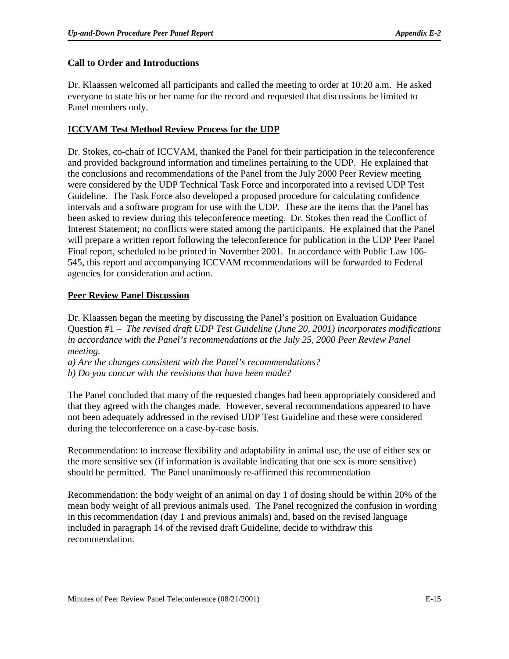## **Call to Order and Introductions**

Dr. Klaassen welcomed all participants and called the meeting to order at 10:20 a.m. He asked everyone to state his or her name for the record and requested that discussions be limited to Panel members only.

## **ICCVAM Test Method Review Process for the UDP**

Dr. Stokes, co-chair of ICCVAM, thanked the Panel for their participation in the teleconference and provided background information and timelines pertaining to the UDP. He explained that the conclusions and recommendations of the Panel from the July 2000 Peer Review meeting were considered by the UDP Technical Task Force and incorporated into a revised UDP Test Guideline. The Task Force also developed a proposed procedure for calculating confidence intervals and a software program for use with the UDP. These are the items that the Panel has been asked to review during this teleconference meeting. Dr. Stokes then read the Conflict of Interest Statement; no conflicts were stated among the participants. He explained that the Panel will prepare a written report following the teleconference for publication in the UDP Peer Panel Final report, scheduled to be printed in November 2001. In accordance with Public Law 106- 545, this report and accompanying ICCVAM recommendations will be forwarded to Federal agencies for consideration and action.

## **Peer Review Panel Discussion**

Dr. Klaassen began the meeting by discussing the Panel's position on Evaluation Guidance Question #1 – *The revised draft UDP Test Guideline (June 20, 2001) incorporates modifications in accordance with the Panel's recommendations at the July 25, 2000 Peer Review Panel meeting.*

*a) Are the changes consistent with the Panel's recommendations?*

*b) Do you concur with the revisions that have been made?*

The Panel concluded that many of the requested changes had been appropriately considered and that they agreed with the changes made. However, several recommendations appeared to have not been adequately addressed in the revised UDP Test Guideline and these were considered during the teleconference on a case-by-case basis.

Recommendation: to increase flexibility and adaptability in animal use, the use of either sex or the more sensitive sex (if information is available indicating that one sex is more sensitive) should be permitted. The Panel unanimously re-affirmed this recommendation

Recommendation: the body weight of an animal on day 1 of dosing should be within 20% of the mean body weight of all previous animals used. The Panel recognized the confusion in wording in this recommendation (day 1 and previous animals) and, based on the revised language included in paragraph 14 of the revised draft Guideline, decide to withdraw this recommendation.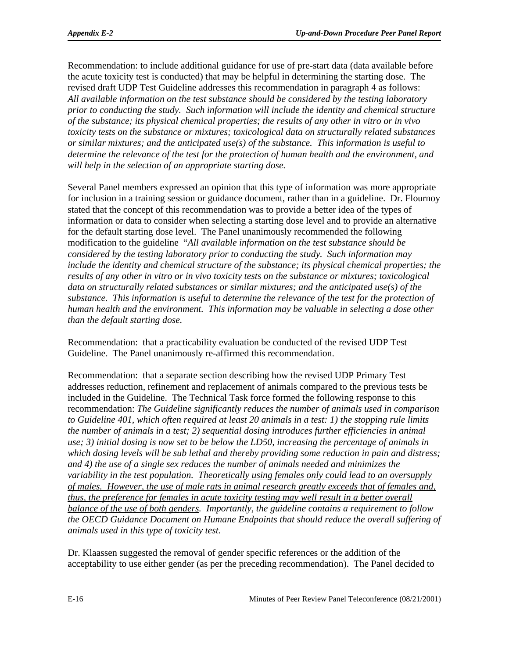Recommendation: to include additional guidance for use of pre-start data (data available before the acute toxicity test is conducted) that may be helpful in determining the starting dose. The revised draft UDP Test Guideline addresses this recommendation in paragraph 4 as follows: *All available information on the test substance should be considered by the testing laboratory prior to conducting the study. Such information will include the identity and chemical structure of the substance; its physical chemical properties; the results of any other in vitro or in vivo toxicity tests on the substance or mixtures; toxicological data on structurally related substances or similar mixtures; and the anticipated use(s) of the substance. This information is useful to determine the relevance of the test for the protection of human health and the environment, and will help in the selection of an appropriate starting dose.* 

Several Panel members expressed an opinion that this type of information was more appropriate for inclusion in a training session or guidance document, rather than in a guideline. Dr. Flournoy stated that the concept of this recommendation was to provide a better idea of the types of information or data to consider when selecting a starting dose level and to provide an alternative for the default starting dose level. The Panel unanimously recommended the following modification to the guideline "*All available information on the test substance should be considered by the testing laboratory prior to conducting the study. Such information may include the identity and chemical structure of the substance; its physical chemical properties; the results of any other in vitro or in vivo toxicity tests on the substance or mixtures; toxicological data on structurally related substances or similar mixtures; and the anticipated use(s) of the substance. This information is useful to determine the relevance of the test for the protection of human health and the environment. This information may be valuable in selecting a dose other than the default starting dose.* 

Recommendation: that a practicability evaluation be conducted of the revised UDP Test Guideline. The Panel unanimously re-affirmed this recommendation.

Recommendation: that a separate section describing how the revised UDP Primary Test addresses reduction, refinement and replacement of animals compared to the previous tests be included in the Guideline. The Technical Task force formed the following response to this recommendation: *The Guideline significantly reduces the number of animals used in comparison to Guideline 401, which often required at least 20 animals in a test: 1) the stopping rule limits the number of animals in a test; 2) sequential dosing introduces further efficiencies in animal use; 3) initial dosing is now set to be below the LD50, increasing the percentage of animals in which dosing levels will be sub lethal and thereby providing some reduction in pain and distress; and 4) the use of a single sex reduces the number of animals needed and minimizes the variability in the test population. Theoretically using females only could lead to an oversupply of males. However, the use of male rats in animal research greatly exceeds that of females and, thus, the preference for females in acute toxicity testing may well result in a better overall balance of the use of both genders. Importantly, the guideline contains a requirement to follow the OECD Guidance Document on Humane Endpoints that should reduce the overall suffering of animals used in this type of toxicity test.* 

Dr. Klaassen suggested the removal of gender specific references or the addition of the acceptability to use either gender (as per the preceding recommendation). The Panel decided to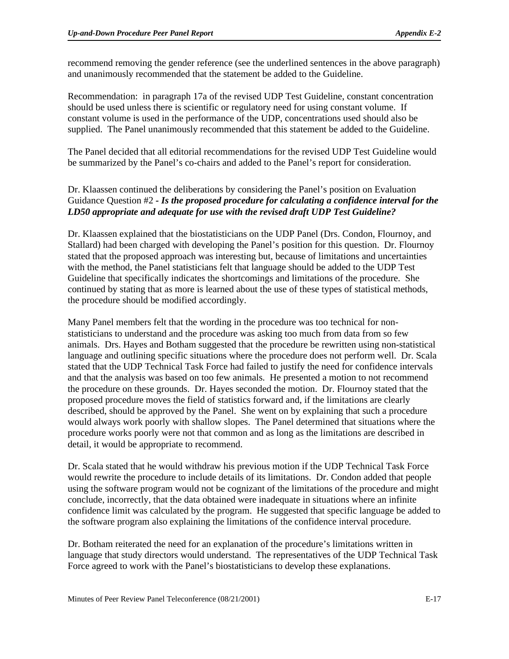recommend removing the gender reference (see the underlined sentences in the above paragraph) and unanimously recommended that the statement be added to the Guideline.

Recommendation: in paragraph 17a of the revised UDP Test Guideline, constant concentration should be used unless there is scientific or regulatory need for using constant volume. If constant volume is used in the performance of the UDP, concentrations used should also be supplied. The Panel unanimously recommended that this statement be added to the Guideline.

The Panel decided that all editorial recommendations for the revised UDP Test Guideline would be summarized by the Panel's co-chairs and added to the Panel's report for consideration.

## Dr. Klaassen continued the deliberations by considering the Panel's position on Evaluation Guidance Question #2 *- Is the proposed procedure for calculating a confidence interval for the LD50 appropriate and adequate for use with the revised draft UDP Test Guideline?*

Dr. Klaassen explained that the biostatisticians on the UDP Panel (Drs. Condon, Flournoy, and Stallard) had been charged with developing the Panel's position for this question. Dr. Flournoy stated that the proposed approach was interesting but, because of limitations and uncertainties with the method, the Panel statisticians felt that language should be added to the UDP Test Guideline that specifically indicates the shortcomings and limitations of the procedure. She continued by stating that as more is learned about the use of these types of statistical methods, the procedure should be modified accordingly.

Many Panel members felt that the wording in the procedure was too technical for nonstatisticians to understand and the procedure was asking too much from data from so few animals. Drs. Hayes and Botham suggested that the procedure be rewritten using non-statistical language and outlining specific situations where the procedure does not perform well. Dr. Scala stated that the UDP Technical Task Force had failed to justify the need for confidence intervals and that the analysis was based on too few animals. He presented a motion to not recommend the procedure on these grounds. Dr. Hayes seconded the motion. Dr. Flournoy stated that the proposed procedure moves the field of statistics forward and, if the limitations are clearly described, should be approved by the Panel. She went on by explaining that such a procedure would always work poorly with shallow slopes. The Panel determined that situations where the procedure works poorly were not that common and as long as the limitations are described in detail, it would be appropriate to recommend.

Dr. Scala stated that he would withdraw his previous motion if the UDP Technical Task Force would rewrite the procedure to include details of its limitations. Dr. Condon added that people using the software program would not be cognizant of the limitations of the procedure and might conclude, incorrectly, that the data obtained were inadequate in situations where an infinite confidence limit was calculated by the program. He suggested that specific language be added to the software program also explaining the limitations of the confidence interval procedure.

Dr. Botham reiterated the need for an explanation of the procedure's limitations written in language that study directors would understand. The representatives of the UDP Technical Task Force agreed to work with the Panel's biostatisticians to develop these explanations.